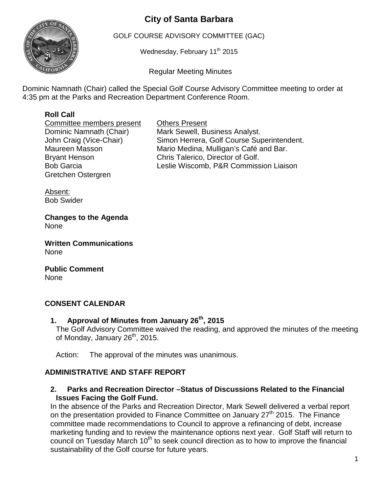# **City of Santa Barbara**



GOLF COURSE ADVISORY COMMITTEE (GAC)

Wednesday, February 11<sup>th</sup> 2015

Regular Meeting Minutes

Dominic Namnath (Chair) called the Special Golf Course Advisory Committee meeting to order at 4:35 pm at the Parks and Recreation Department Conference Room.

# **Roll Call**

**Committee members present Committee Members present Committee Members** Others Present Gretchen Ostergren

Dominic Namnath (Chair) Mark Sewell, Business Analyst.<br>John Craig (Vice-Chair) Simon Herrera, Golf Course Sup Simon Herrera, Golf Course Superintendent. Maureen Masson Mario Medina, Mulligan's Café and Bar. Bryant Henson Chris Talerico, Director of Golf. Bob Garcia Leslie Wiscomb, P&R Commission Liaison

Absent: Bob Swider

**Changes to the Agenda** None

**Written Communications** None

**Public Comment** None

## **CONSENT CALENDAR**

**1. Approval of Minutes from January 26th, 2015**

The Golf Advisory Committee waived the reading, and approved the minutes of the meeting of Monday, January  $26<sup>th</sup>$ , 2015.

Action: The approval of the minutes was unanimous.

# **ADMINISTRATIVE AND STAFF REPORT**

**2. Parks and Recreation Director –Status of Discussions Related to the Financial Issues Facing the Golf Fund.**

In the absence of the Parks and Recreation Director, Mark Sewell delivered a verbal report on the presentation provided to Finance Committee on January 27<sup>th</sup> 2015. The Finance committee made recommendations to Council to approve a refinancing of debt, increase marketing funding and to review the maintenance options next year. Golf Staff will return to council on Tuesday March  $10<sup>th</sup>$  to seek council direction as to how to improve the financial sustainability of the Golf course for future years.